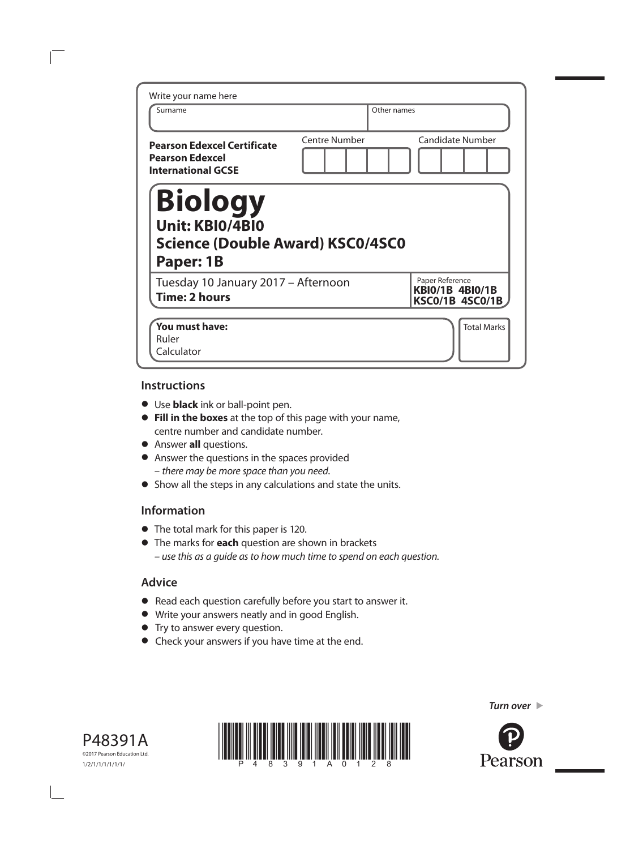| Write your name here<br>Surname                                                           |                      | Other names                                                         |  |
|-------------------------------------------------------------------------------------------|----------------------|---------------------------------------------------------------------|--|
| <b>Pearson Edexcel Certificate</b><br><b>Pearson Edexcel</b><br><b>International GCSE</b> | <b>Centre Number</b> | <b>Candidate Number</b>                                             |  |
|                                                                                           |                      |                                                                     |  |
| <b>Biology</b><br><b>Unit: KBIO/4BIO</b><br>Science (Double Award) KSC0/4SC0<br>Paper: 1B |                      |                                                                     |  |
| Tuesday 10 January 2017 - Afternoon<br><b>Time: 2 hours</b>                               |                      | Paper Reference<br><b>KBI0/1B 4BI0/1B</b><br><b>KSC0/1B 4SC0/1B</b> |  |

## **Instructions**

- **•** Use **black** ink or ball-point pen.
- **• Fill in the boxes** at the top of this page with your name, centre number and candidate number.
- **•** Answer **all** questions.
- **•** Answer the questions in the spaces provided – *there may be more space than you need*.
- **•** Show all the steps in any calculations and state the units.

## **Information**

- **•** The total mark for this paper is 120.
- **•** The marks for **each** question are shown in brackets *– use this as a guide as to how much time to spend on each question.*

# **Advice**

- **•** Read each question carefully before you start to answer it.
- **•** Write your answers neatly and in good English.
- **•** Try to answer every question.
- **•** Check your answers if you have time at the end.





*Turn over* 

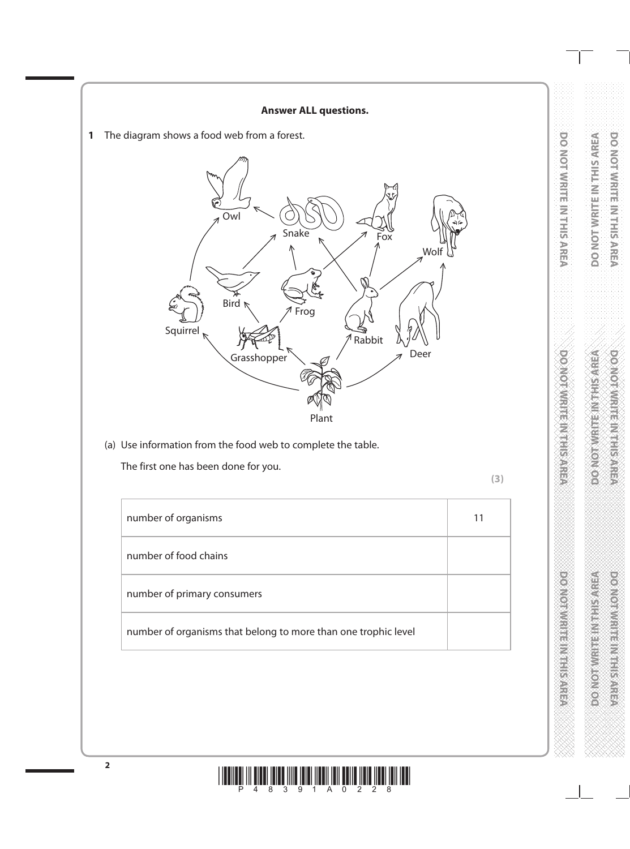**1** The diagram shows a food web from a forest.



(a) Use information from the food web to complete the table.

The first one has been done for you.

**(3)**

| number of organisms                                            |  |
|----------------------------------------------------------------|--|
| number of food chains                                          |  |
| number of primary consumers                                    |  |
| number of organisms that belong to more than one trophic level |  |

**DO NOT WRITE IN THE INTERNATIONAL CONTRACTOR** 

**DOMOTAWRITE IN THIS AREA** 

**DO NOT WRITE IN THIS AREA**

**DOWOTWEITENTERS**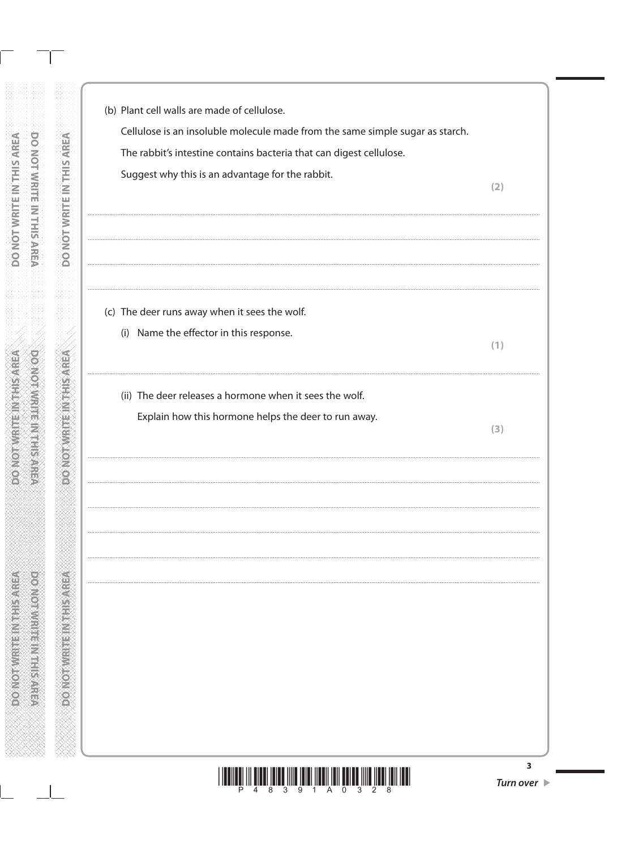| (b) Plant cell walls are made of cellulose.                                   |     |
|-------------------------------------------------------------------------------|-----|
| Cellulose is an insoluble molecule made from the same simple sugar as starch. |     |
| The rabbit's intestine contains bacteria that can digest cellulose.           |     |
| Suggest why this is an advantage for the rabbit.                              |     |
|                                                                               | (2) |
|                                                                               |     |
|                                                                               |     |
|                                                                               |     |
|                                                                               |     |
|                                                                               |     |
| (c) The deer runs away when it sees the wolf.                                 |     |
| (i) Name the effector in this response.                                       |     |
|                                                                               | (1) |
|                                                                               |     |
| (ii) The deer releases a hormone when it sees the wolf.                       |     |
|                                                                               |     |
| Explain how this hormone helps the deer to run away.                          | (3) |
|                                                                               |     |
|                                                                               |     |
|                                                                               |     |
|                                                                               |     |
|                                                                               |     |
|                                                                               |     |
|                                                                               |     |
|                                                                               |     |
|                                                                               |     |
|                                                                               |     |
|                                                                               |     |
|                                                                               |     |
|                                                                               |     |
|                                                                               |     |
|                                                                               |     |
|                                                                               |     |
|                                                                               |     |

**DONOTWRITE IN THIS AREA** 

**PONOTWERT INTERNET** 



 $\overline{\mathbf{3}}$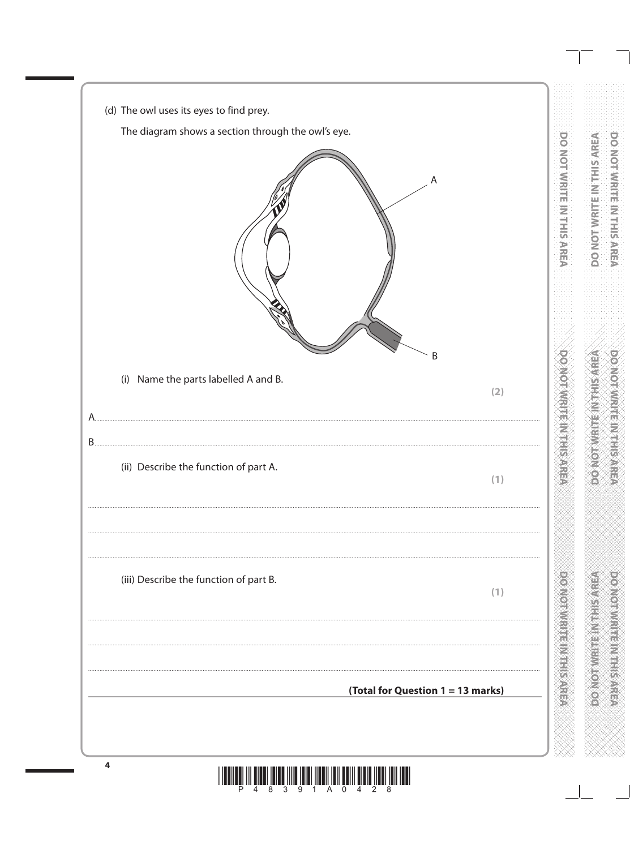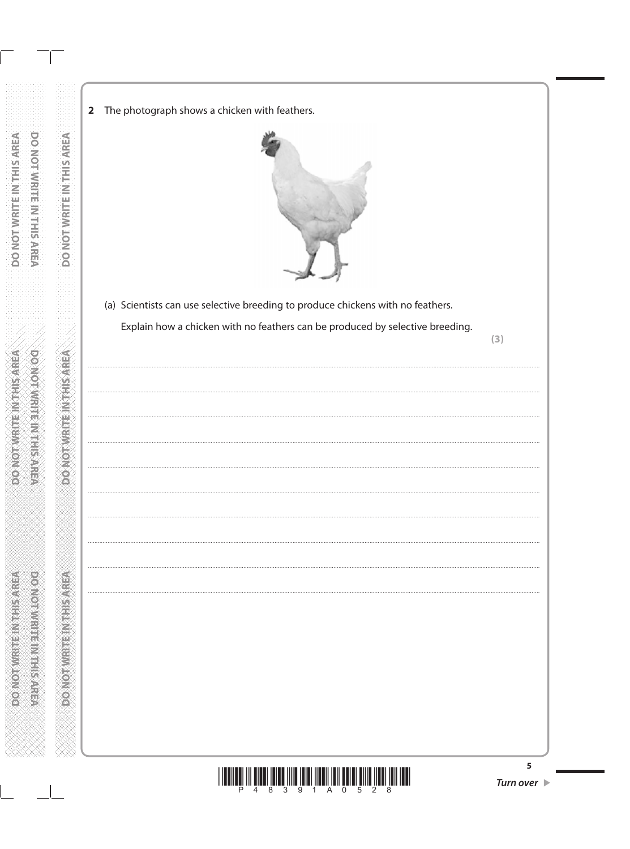2 The photograph shows a chicken with feathers.

**DO NOT WRITE IN THIS AREA** 

**DONOTWRITEINTHISAREA** 

**PONOT WRITE INSTESSION** 



(a) Scientists can use selective breeding to produce chickens with no feathers. Explain how a chicken with no feathers can be produced by selective breeding.

 $(3)$ 

| I III ANDALI III BILBI IBILBI IIII ALDI III ALDI III ALDI BILBI III ALDI IBIL |  |  |  |  |  |
|-------------------------------------------------------------------------------|--|--|--|--|--|
|                                                                               |  |  |  |  |  |

 $\overline{5}$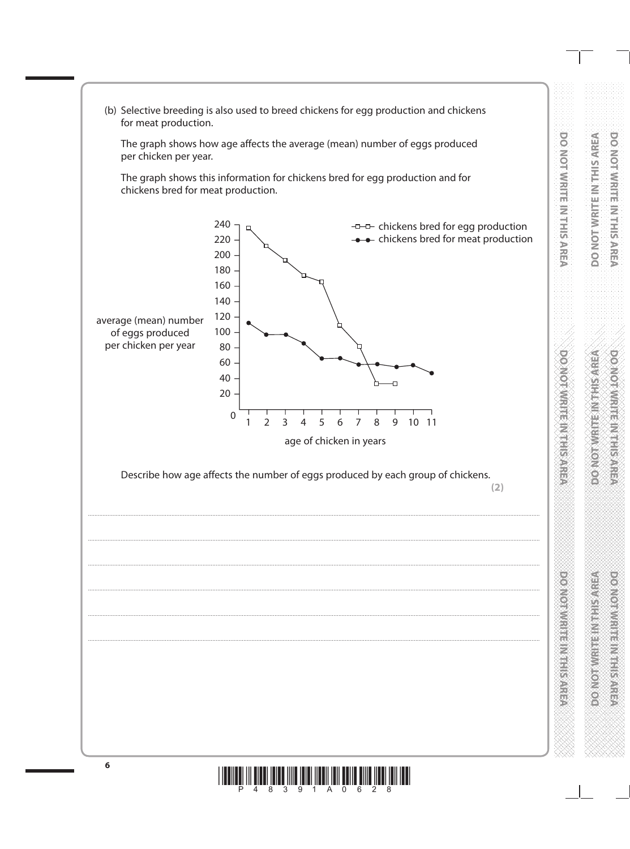**DO NOT WRITE IN THIS AREA DOMOTAWRITE IN THIS AREA** 

**POSTOR AND IN THE PROPERTY OF** 

(b) Selective breeding is also used to breed chickens for egg production and chickens for meat production.

The graph shows how age affects the average (mean) number of eggs produced per chicken per year.

The graph shows this information for chickens bred for egg production and for chickens bred for meat production.

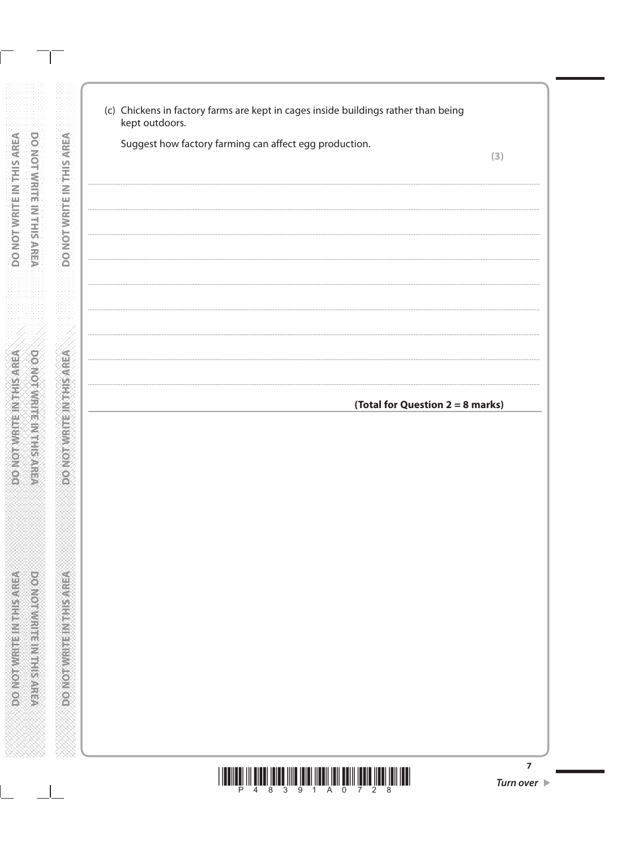|                             | (c) Chickens in factory farms are kept in cages inside buildings rather than being<br>kept outdoors. |                         |
|-----------------------------|------------------------------------------------------------------------------------------------------|-------------------------|
| DO NOT WRITE IN THIS AREA   | Suggest how factory farming can affect egg production.                                               | (3)                     |
|                             |                                                                                                      |                         |
|                             |                                                                                                      |                         |
|                             |                                                                                                      |                         |
|                             |                                                                                                      |                         |
| <b>DONOTWRITE/NTRISAREA</b> |                                                                                                      |                         |
|                             | (Total for Question 2 = 8 marks)                                                                     |                         |
|                             |                                                                                                      |                         |
|                             |                                                                                                      |                         |
|                             |                                                                                                      |                         |
|                             |                                                                                                      |                         |
|                             |                                                                                                      |                         |
| <b>DONOTWEINEMERSAREA</b>   |                                                                                                      |                         |
|                             |                                                                                                      |                         |
|                             |                                                                                                      | $\overline{\mathbf{z}}$ |

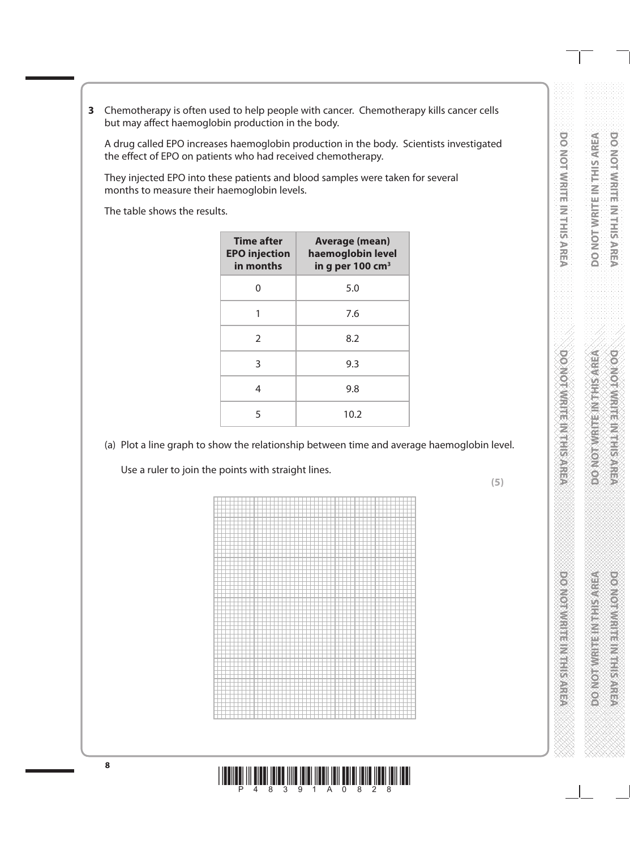**3** Chemotherapy is often used to help people with cancer. Chemotherapy kills cancer cells but may affect haemoglobin production in the body.

A drug called EPO increases haemoglobin production in the body. Scientists investigated the effect of EPO on patients who had received chemotherapy.

They injected EPO into these patients and blood samples were taken for several months to measure their haemoglobin levels.

The table shows the results.

| <b>Time after</b><br><b>EPO</b> injection<br>in months | <b>Average (mean)</b><br>haemoglobin level<br>in g per 100 cm <sup>3</sup> |
|--------------------------------------------------------|----------------------------------------------------------------------------|
| U                                                      | 5.0                                                                        |
| 1                                                      | 7.6                                                                        |
| 2                                                      | 8.2                                                                        |
| 3                                                      | 9.3                                                                        |
| 4                                                      | 9.8                                                                        |
| 5                                                      | 10.2                                                                       |

(a) Plot a line graph to show the relationship between time and average haemoglobin level.

Use a ruler to join the points with straight lines.



**(5)**

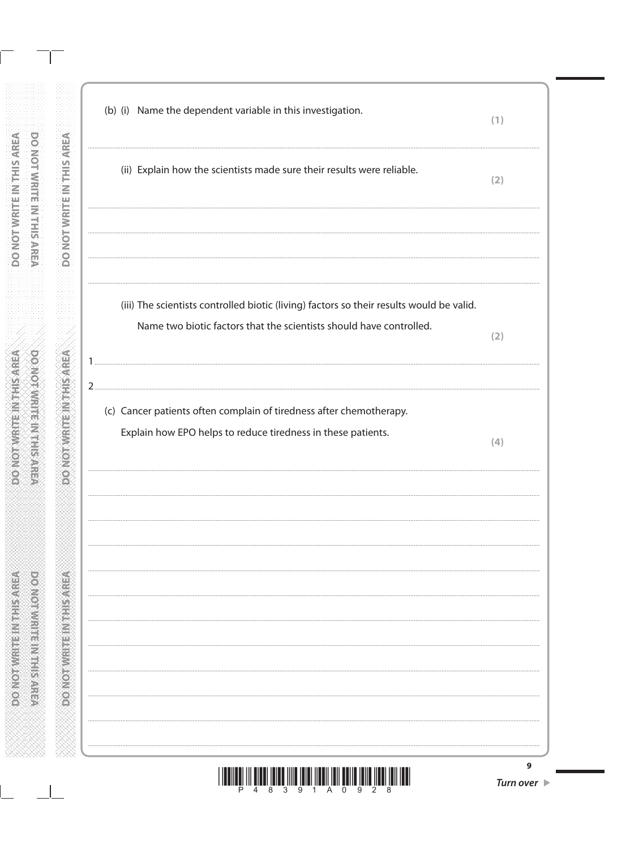| (b) (i) Name the dependent variable in this investigation.                               | (1) |
|------------------------------------------------------------------------------------------|-----|
| (ii) Explain how the scientists made sure their results were reliable.                   | (2) |
|                                                                                          |     |
| (iii) The scientists controlled biotic (living) factors so their results would be valid. |     |
| Name two biotic factors that the scientists should have controlled.                      | (2) |
| $2_{\cdot\cdot}$<br>(c) Cancer patients often complain of tiredness after chemotherapy.  |     |
| Explain how EPO helps to reduce tiredness in these patients.                             | (4) |
|                                                                                          |     |
|                                                                                          |     |
|                                                                                          |     |
|                                                                                          |     |
|                                                                                          |     |
|                                                                                          |     |

**DO NOT WRITE IN THIS AREA** 

**POINOT WRITE IN THIS AREA** 

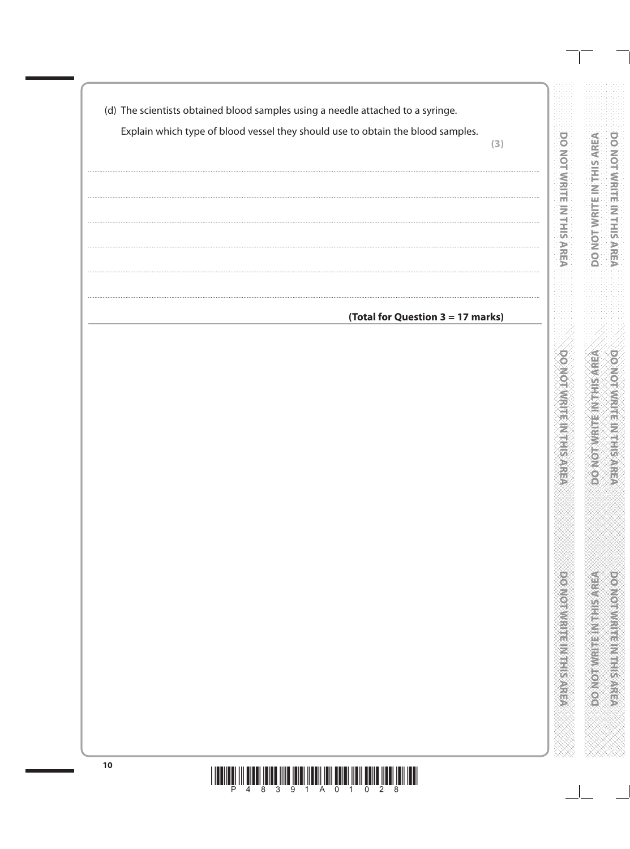| Explain which type of blood vessel they should use to obtain the blood samples. |                                   |
|---------------------------------------------------------------------------------|-----------------------------------|
|                                                                                 | (3)                               |
|                                                                                 |                                   |
|                                                                                 |                                   |
|                                                                                 |                                   |
|                                                                                 |                                   |
|                                                                                 |                                   |
|                                                                                 |                                   |
|                                                                                 | (Total for Question 3 = 17 marks) |
|                                                                                 |                                   |
|                                                                                 |                                   |
|                                                                                 |                                   |
|                                                                                 |                                   |
|                                                                                 |                                   |
|                                                                                 |                                   |
|                                                                                 |                                   |
|                                                                                 |                                   |
|                                                                                 |                                   |
|                                                                                 |                                   |
|                                                                                 |                                   |
|                                                                                 |                                   |
|                                                                                 |                                   |
|                                                                                 |                                   |
|                                                                                 |                                   |
|                                                                                 |                                   |
|                                                                                 |                                   |
|                                                                                 |                                   |
|                                                                                 |                                   |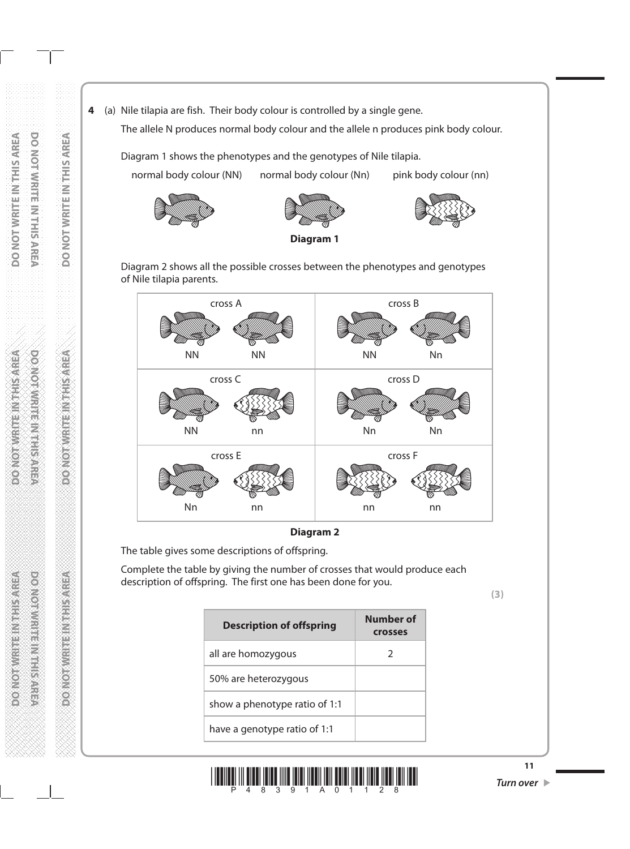**4** (a) Nile tilapia are fish. Their body colour is controlled by a single gene. The allele N produces normal body colour and the allele n produces pink body colour.

Diagram 1 shows the phenotypes and the genotypes of Nile tilapia.

normal body colour (NN) normal body colour (Nn) pink body colour (nn)







 Diagram 2 shows all the possible crosses between the phenotypes and genotypes of Nile tilapia parents.



### **Diagram 2**

The table gives some descriptions of offspring.

 Complete the table by giving the number of crosses that would produce each description of offspring. The first one has been done for you.

**(3)**

| <b>Description of offspring</b> | Number of<br><b>crosses</b> |
|---------------------------------|-----------------------------|
| all are homozygous              | $\mathcal{L}$               |
| 50% are heterozygous            |                             |
| show a phenotype ratio of 1:1   |                             |
| have a genotype ratio of 1:1    |                             |

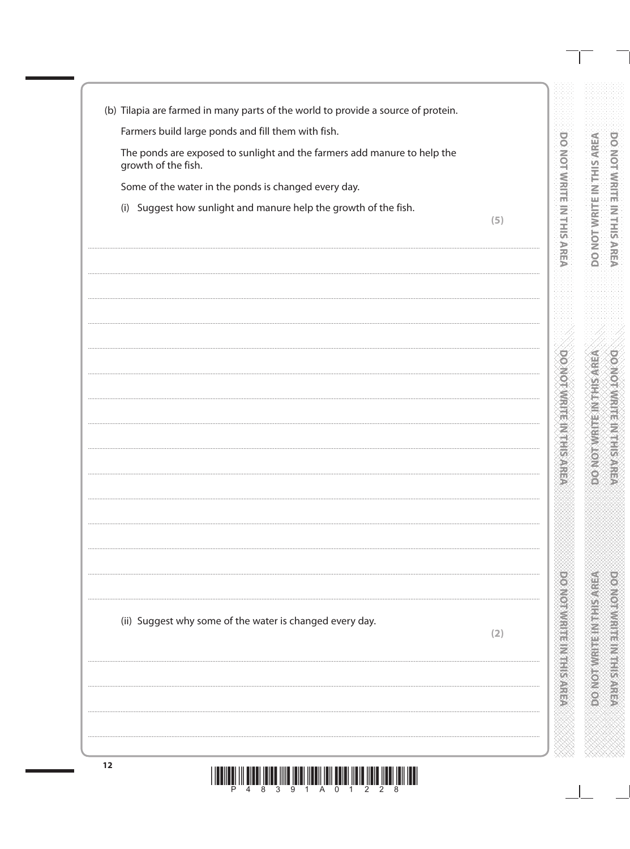| Farmers build large ponds and fill them with fish.                                              |              |
|-------------------------------------------------------------------------------------------------|--------------|
| The ponds are exposed to sunlight and the farmers add manure to help the<br>growth of the fish. |              |
| Some of the water in the ponds is changed every day.                                            |              |
| (i) Suggest how sunlight and manure help the growth of the fish.                                | (5)          |
|                                                                                                 |              |
|                                                                                                 |              |
|                                                                                                 |              |
|                                                                                                 |              |
|                                                                                                 |              |
|                                                                                                 |              |
|                                                                                                 |              |
|                                                                                                 |              |
|                                                                                                 |              |
|                                                                                                 |              |
|                                                                                                 |              |
|                                                                                                 |              |
|                                                                                                 |              |
|                                                                                                 |              |
|                                                                                                 |              |
|                                                                                                 |              |
|                                                                                                 |              |
|                                                                                                 |              |
| (ii) Suggest why some of the water is changed every day.                                        |              |
|                                                                                                 | $\mathbf{2}$ |
|                                                                                                 |              |
|                                                                                                 |              |
|                                                                                                 |              |
|                                                                                                 |              |

 $\begin{array}{c} \end{array} \begin{array}{c} \begin{array}{c} \begin{array}{c} \begin{array}{c} \begin{array}{c} \end{array} \\ \begin{array}{c} \end{array} \\ \begin{array}{c} \end{array} \\ \begin{array}{c} \end{array} \\ \begin{array}{c} \end{array} \\ \begin{array}{c} \end{array} \\ \begin{array}{c} \end{array} \\ \begin{array}{c} \end{array} \\ \begin{array}{c} \end{array} \\ \begin{array}{c} \end{array} \\ \begin{array}{c} \end{array} \\ \begin{array}{c} \end{array} \\ \begin{array}{c} \end{array} \\ \begin{array}{c} \end{array$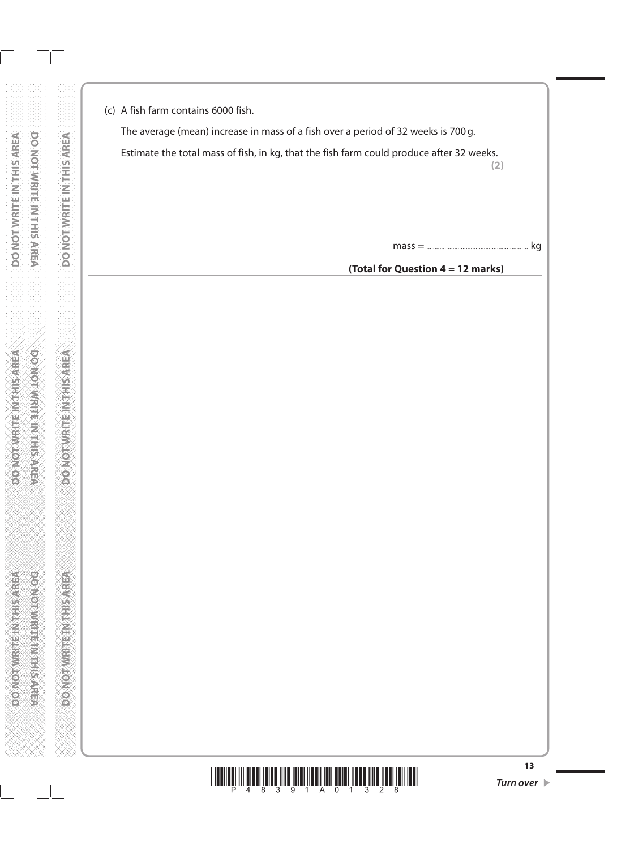(c) A fish farm contains 6000 fish.

**DO NOT WRITE IN THIS AREA DO NOT WRITE IN THIS AREA DO NOT WRITE IN THIS AREA**

**PONOTWRITEINTHISAREA** 

**DONOT WRITEIN THIS AREA** 

**DO NOT WRITE IN THIS AREA** 

 The average (mean) increase in mass of a fish over a period of 32 weeks is 700g. Estimate the total mass of fish, in kg, that the fish farm could produce after 32 weeks.

mass = .............................................................. kg

**(2)**

## **(Total for Question 4 = 12 marks)**

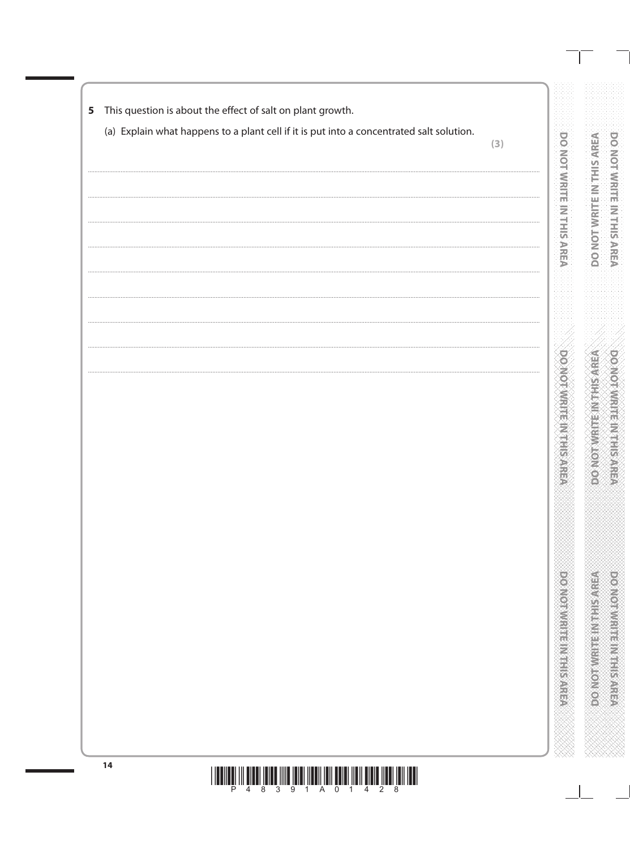|  | (a) Explain what happens to a plant cell if it is put into a concentrated salt solution. | (3) |
|--|------------------------------------------------------------------------------------------|-----|
|  |                                                                                          |     |
|  |                                                                                          |     |
|  |                                                                                          |     |
|  |                                                                                          |     |
|  |                                                                                          |     |
|  |                                                                                          |     |
|  |                                                                                          |     |
|  |                                                                                          |     |
|  |                                                                                          |     |
|  |                                                                                          |     |
|  |                                                                                          |     |
|  |                                                                                          |     |
|  |                                                                                          |     |
|  |                                                                                          |     |
|  |                                                                                          |     |
|  |                                                                                          |     |
|  |                                                                                          |     |
|  |                                                                                          |     |
|  |                                                                                          |     |
|  |                                                                                          |     |
|  |                                                                                          |     |
|  |                                                                                          |     |
|  |                                                                                          |     |
|  |                                                                                          |     |
|  |                                                                                          |     |
|  |                                                                                          |     |
|  |                                                                                          |     |
|  |                                                                                          |     |
|  |                                                                                          |     |
|  |                                                                                          |     |
|  |                                                                                          |     |

١

 $\frac{1}{4}\frac{1}{2}\frac{1}{2}\frac{1}{2}\frac{1}{2}\frac{1}{2}\frac{1}{2}\frac{1}{2}\frac{1}{2}\frac{1}{2}\frac{1}{2}\frac{1}{2}\frac{1}{2}\frac{1}{2}\frac{1}{2}\frac{1}{2}\frac{1}{2}\frac{1}{2}\frac{1}{2}\frac{1}{2}\frac{1}{2}\frac{1}{2}\frac{1}{2}\frac{1}{2}\frac{1}{2}\frac{1}{2}\frac{1}{2}\frac{1}{2}\frac{1}{2}\frac{1}{2}\frac{1}{2}\frac{1}{2}\frac{1}{2}\frac{1}{2}\frac{1}{2}\frac{1}{2}\frac{1$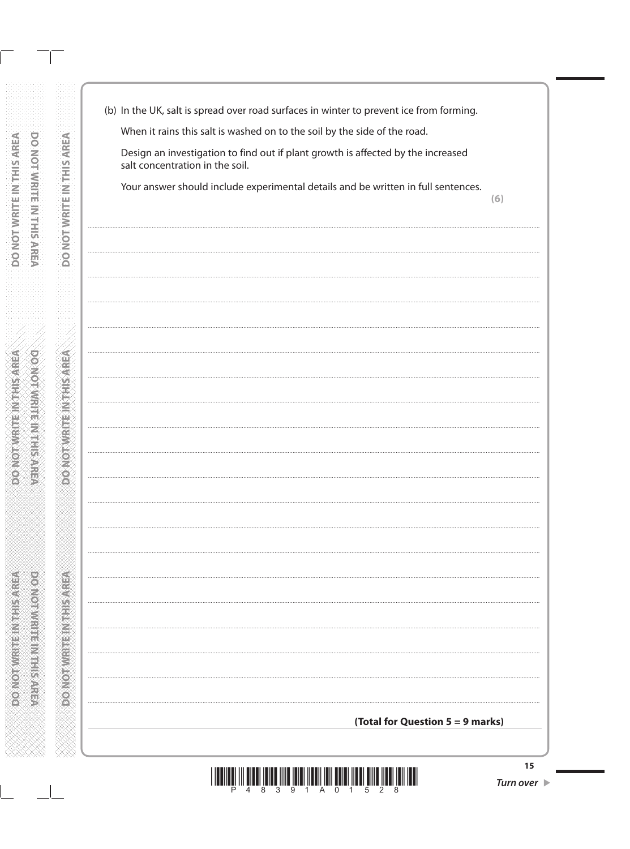(b) In the UK, salt is spread over road surfaces in winter to prevent ice from forming.

When it rains this salt is washed on to the soil by the side of the road.

Design an investigation to find out if plant growth is affected by the increased salt concentration in the soil.

Your answer should include experimental details and be written in full sentences.

 $(6)$ 



Turn over  $\blacktriangleright$ 

**PORTOR METHODS CONTENT**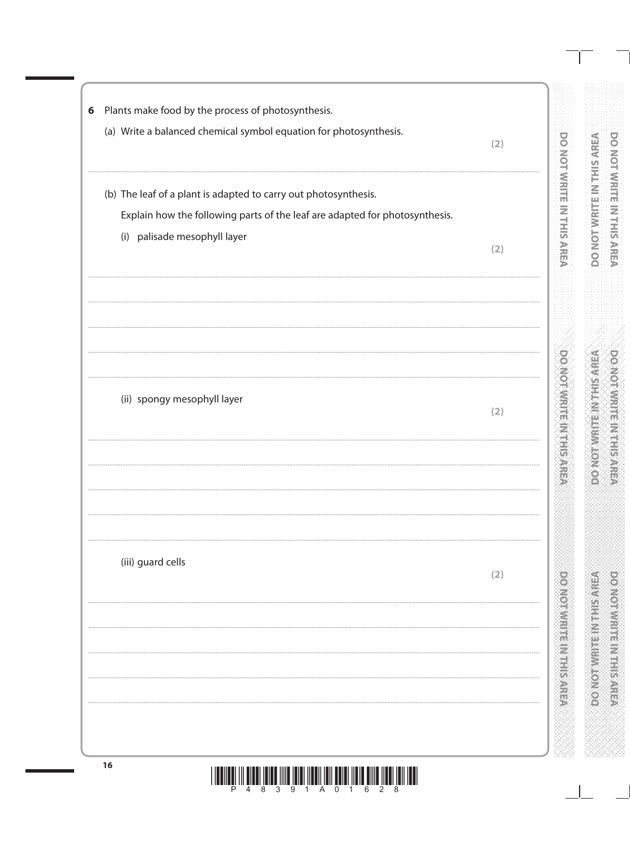| Plants make food by the process of photosynthesis.<br>6<br>(a) Write a balanced chemical symbol equation for photosynthesis. | (2)                                                                         |  |
|------------------------------------------------------------------------------------------------------------------------------|-----------------------------------------------------------------------------|--|
| (b) The leaf of a plant is adapted to carry out photosynthesis.                                                              |                                                                             |  |
| (i) palisade mesophyll layer                                                                                                 | Explain how the following parts of the leaf are adapted for photosynthesis. |  |
|                                                                                                                              | (2)                                                                         |  |
|                                                                                                                              |                                                                             |  |
|                                                                                                                              |                                                                             |  |
| (ii) spongy mesophyll layer                                                                                                  | (2)                                                                         |  |
|                                                                                                                              |                                                                             |  |
| (iii) guard cells                                                                                                            |                                                                             |  |
|                                                                                                                              | (2)                                                                         |  |
|                                                                                                                              |                                                                             |  |
|                                                                                                                              |                                                                             |  |
|                                                                                                                              |                                                                             |  |

 $\begin{array}{c} \end{array} \begin{array}{c} \begin{array}{c} \begin{array}{c} \begin{array}{c} \begin{array}{c} \end{array} \\ \begin{array}{c} \end{array} \\ \begin{array}{c} \end{array} \\ \begin{array}{c} \end{array} \\ \begin{array}{c} \end{array} \\ \begin{array}{c} \end{array} \\ \begin{array}{c} \end{array} \\ \begin{array}{c} \end{array} \\ \begin{array}{c} \end{array} \\ \begin{array}{c} \end{array} \\ \begin{array}{c} \end{array} \\ \begin{array}{c} \end{array} \\ \begin{array}{c} \end{array} \\ \begin{array}{c} \end{array$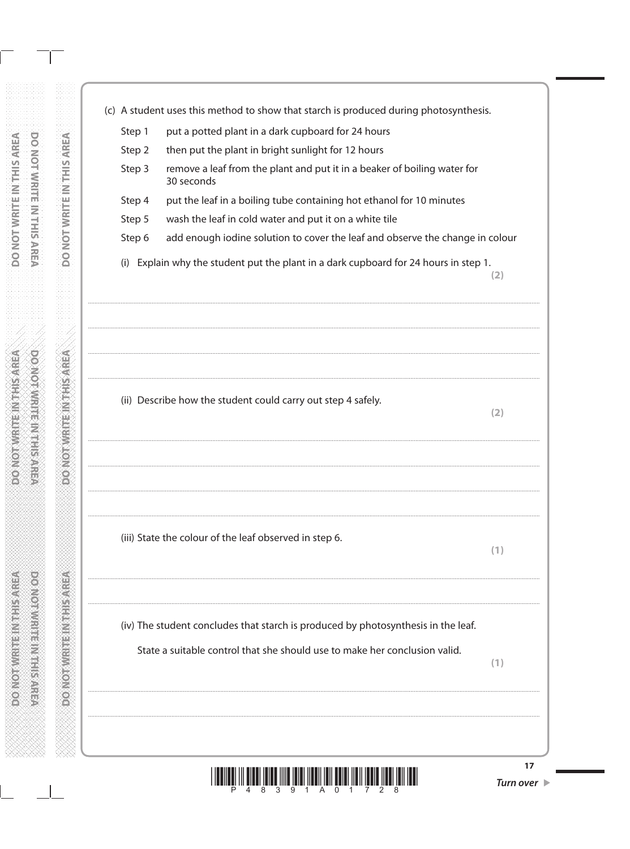- (c) A student uses this method to show that starch is produced during photosynthesis.
	- put a potted plant in a dark cupboard for 24 hours Step 1
	- Step 2 then put the plant in bright sunlight for 12 hours
	- Step 3 remove a leaf from the plant and put it in a beaker of boiling water for 30 seconds
	- Step 4 put the leaf in a boiling tube containing hot ethanol for 10 minutes
	- wash the leaf in cold water and put it on a white tile Step 5
	- add enough iodine solution to cover the leaf and observe the change in colour Step 6
	- (i) Explain why the student put the plant in a dark cupboard for 24 hours in step 1.

 $(2)$ 

(ii) Describe how the student could carry out step 4 safely.

 $(2)$ 

- (iii) State the colour of the leaf observed in step 6.
- (iv) The student concludes that starch is produced by photosynthesis in the leaf.
	- State a suitable control that she should use to make her conclusion valid.

 $(1)$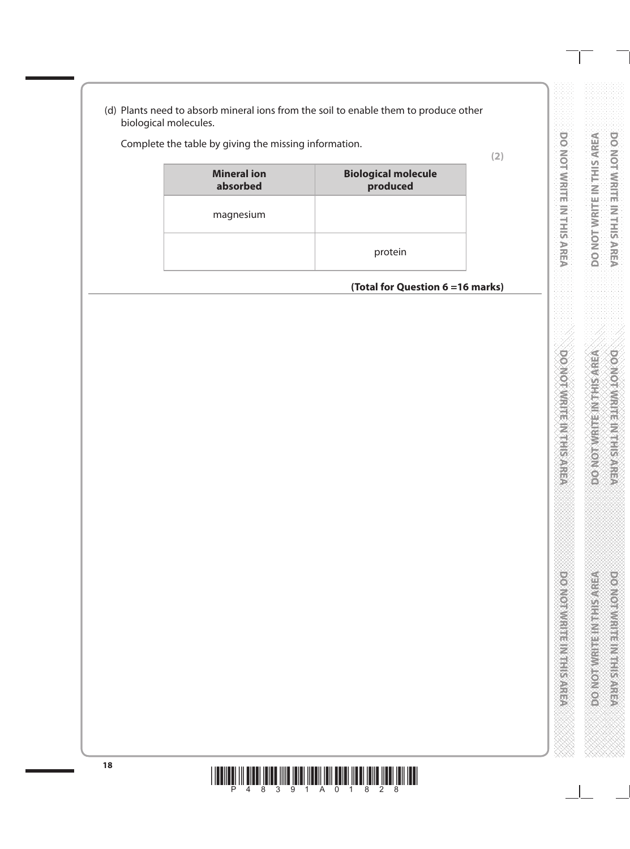(d) Plants need to absorb mineral ions from the soil to enable them to produce other biological molecules.

Complete the table by giving the missing information.

| <b>Mineral ion</b><br>absorbed | <b>Biological molecule</b><br>produced |
|--------------------------------|----------------------------------------|
| magnesium                      |                                        |
|                                | protein                                |

# **(Total for Question 6 =16 marks)**

**(2)**

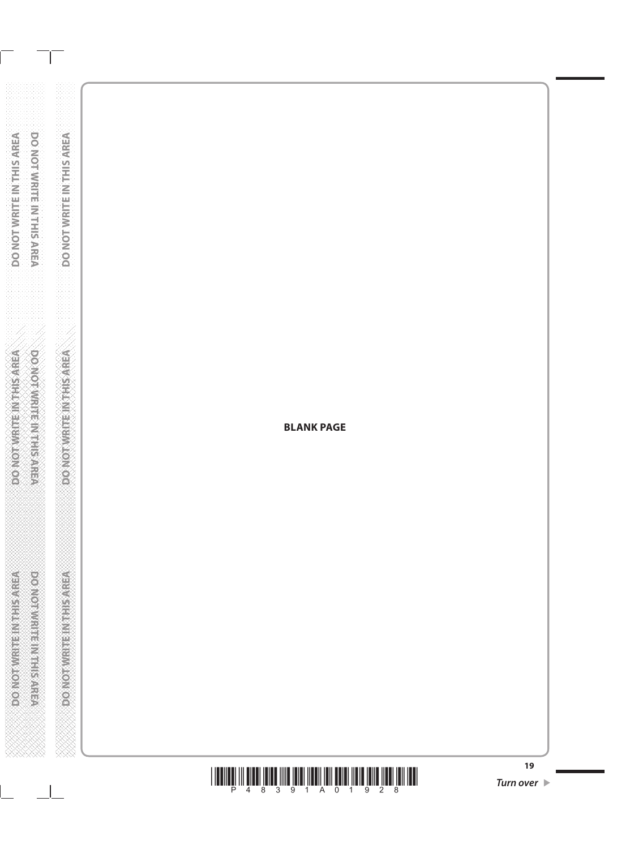

**DO NOT WRITE IN THIS AREA DO NOT WRITE IN THIS AREA DO NOT WRITE IN THIS AREA DONOTWRITEWTHSAREA** 

**BLANK PAGE**

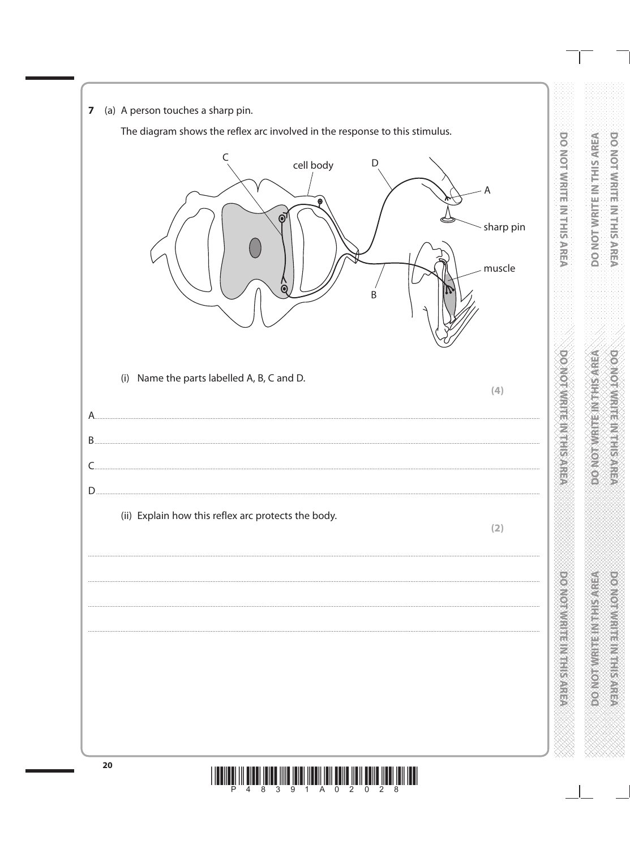

**TI JIH JIH JIH JIH ATIKA KWA 2002**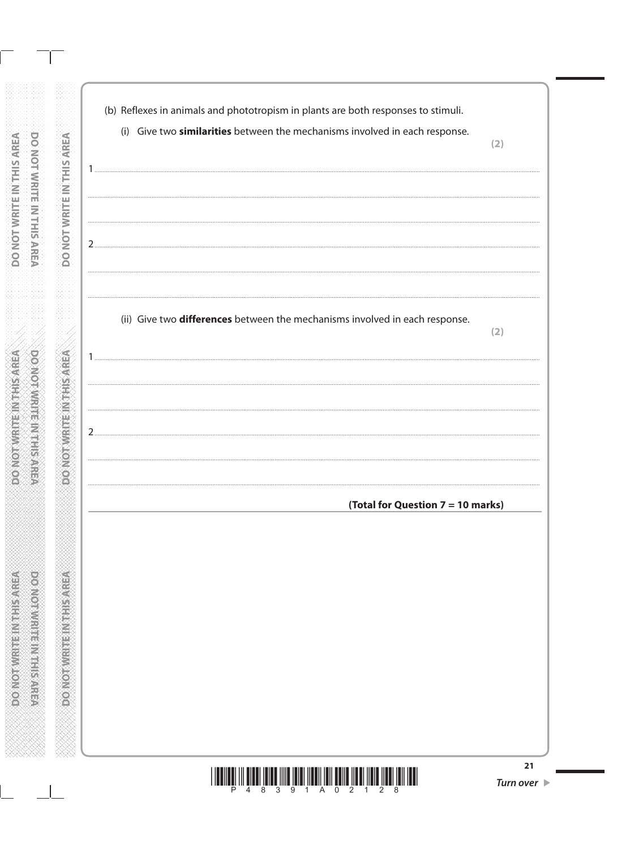(b) Reflexes in animals and phototropism in plants are both responses to stimuli. (i) Give two similarities between the mechanisms involved in each response. **DO NOT WRITE IN THIS AREA**  $(2)$ 2 (ii) Give two differences between the mechanisms involved in each response.  $(2)$ **DONOT WRITE IN THIS AREA** (Total for Question 7 = 10 marks) **POSSIBLE IN THE STATE OF STATE**  $21$ 

8 3 9 1 A 0 2 1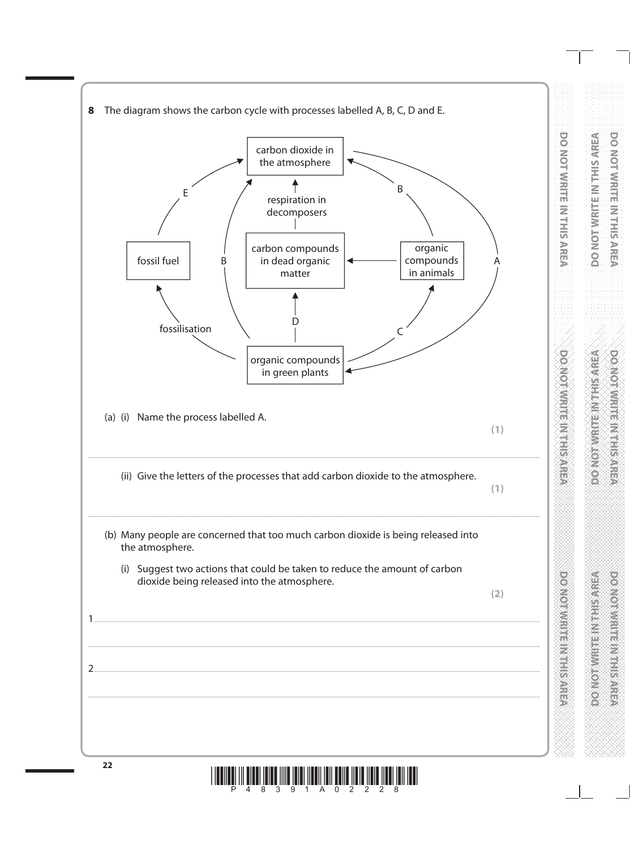

**DOMOION RIGHTS MEDICALES**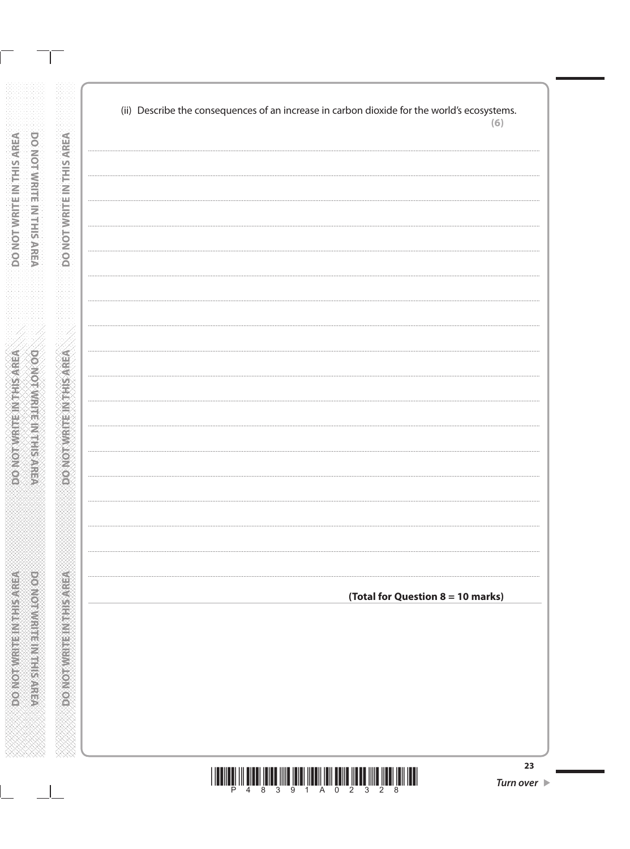|   | (ii) Describe the consequences of an increase in carbon dioxide for the world's ecosystems. | (6) |
|---|---------------------------------------------------------------------------------------------|-----|
|   |                                                                                             |     |
|   |                                                                                             |     |
|   |                                                                                             |     |
|   |                                                                                             |     |
|   |                                                                                             |     |
|   |                                                                                             |     |
|   |                                                                                             |     |
| . |                                                                                             |     |
|   |                                                                                             |     |
|   |                                                                                             |     |
|   |                                                                                             |     |
|   |                                                                                             |     |
|   |                                                                                             |     |
|   |                                                                                             |     |
|   |                                                                                             |     |
|   |                                                                                             |     |
|   |                                                                                             |     |
|   |                                                                                             |     |
|   |                                                                                             |     |
|   |                                                                                             |     |
|   |                                                                                             |     |
|   |                                                                                             |     |
|   |                                                                                             |     |
|   |                                                                                             |     |
|   |                                                                                             |     |
|   |                                                                                             |     |
|   |                                                                                             |     |
|   |                                                                                             |     |
|   |                                                                                             |     |
|   |                                                                                             |     |
|   |                                                                                             |     |
|   |                                                                                             |     |
|   |                                                                                             |     |
|   |                                                                                             |     |
|   | (Total for Question 8 = 10 marks)                                                           |     |
|   |                                                                                             |     |
|   |                                                                                             |     |
|   |                                                                                             |     |
|   |                                                                                             |     |
|   |                                                                                             |     |
|   |                                                                                             |     |
|   |                                                                                             |     |
|   |                                                                                             |     |
|   |                                                                                             |     |
|   |                                                                                             |     |
|   |                                                                                             |     |

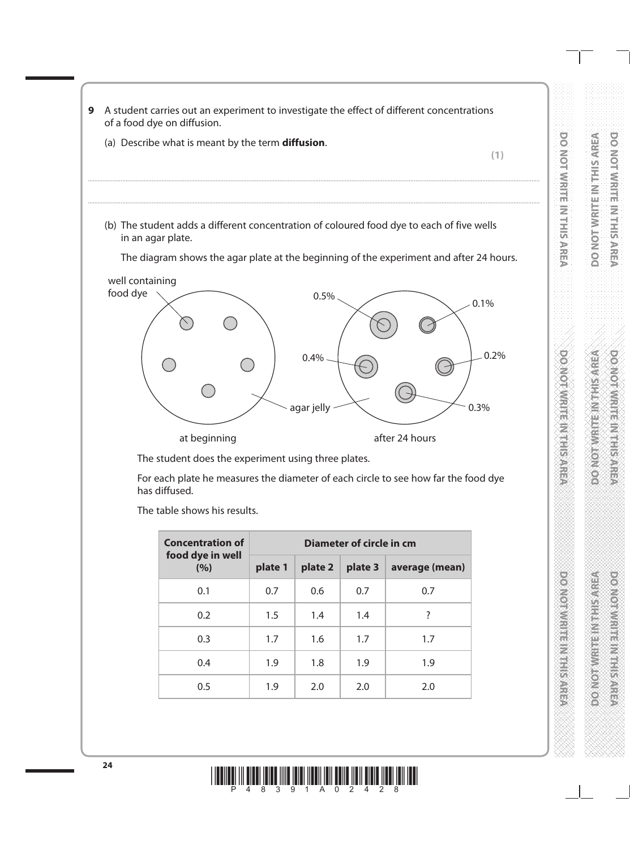**DOMONDER HERE SERVES** 



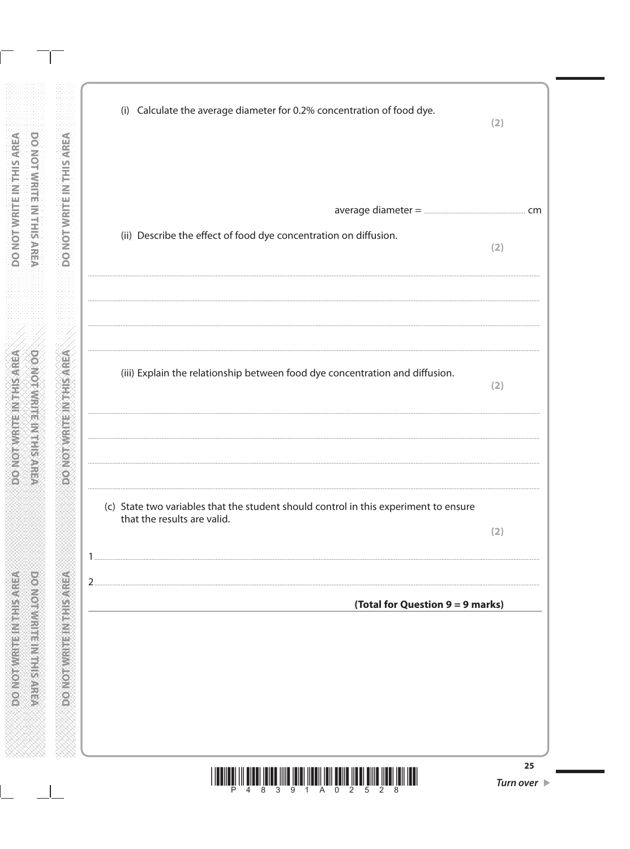|    | (i) Calculate the average diameter for 0.2% concentration of food dye.                                              | (2) |  |
|----|---------------------------------------------------------------------------------------------------------------------|-----|--|
|    | (ii) Describe the effect of food dye concentration on diffusion.                                                    | (2) |  |
|    | (iii) Explain the relationship between food dye concentration and diffusion.                                        | (2) |  |
| 2. | (c) State two variables that the student should control in this experiment to ensure<br>that the results are valid. | (2) |  |
|    | (Total for Question 9 = 9 marks)                                                                                    |     |  |

**DONOTWRITE IN THIS AREA** 

**DONOT WRITEIN THIS AREA** 



 $25$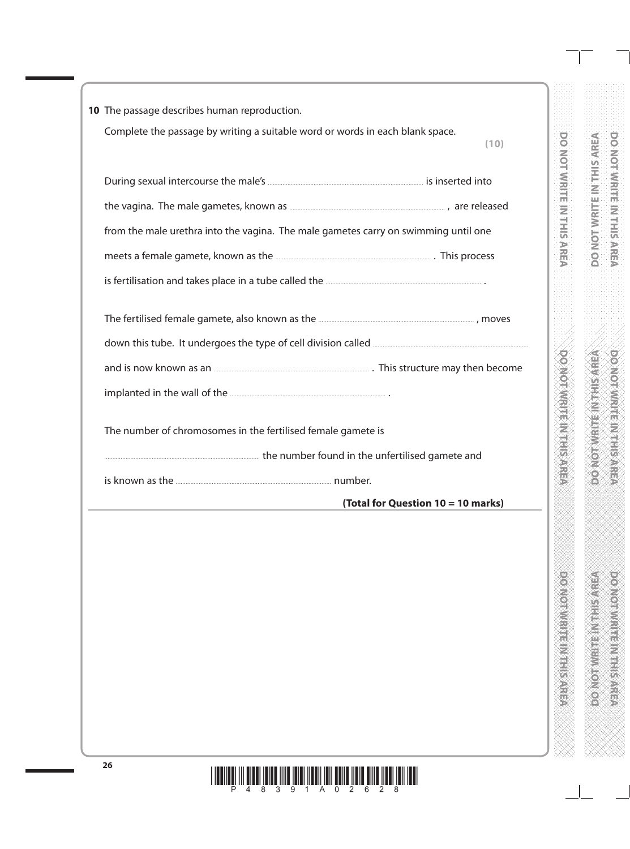| 10 The passage describes human reproduction.                                        |                                    |
|-------------------------------------------------------------------------------------|------------------------------------|
| Complete the passage by writing a suitable word or words in each blank space.       |                                    |
|                                                                                     | (10)                               |
|                                                                                     |                                    |
|                                                                                     |                                    |
| from the male urethra into the vagina. The male gametes carry on swimming until one |                                    |
|                                                                                     |                                    |
|                                                                                     |                                    |
|                                                                                     |                                    |
|                                                                                     |                                    |
|                                                                                     |                                    |
|                                                                                     |                                    |
| The number of chromosomes in the fertilised female gamete is                        |                                    |
|                                                                                     |                                    |
|                                                                                     |                                    |
|                                                                                     | (Total for Question 10 = 10 marks) |



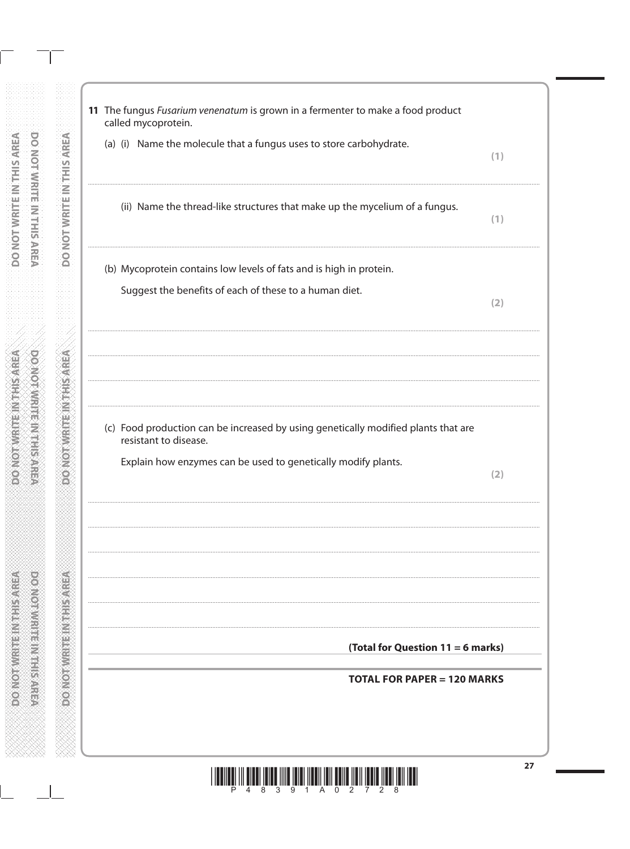| (2) | Suggest the benefits of each of these to a human diet.<br>(c) Food production can be increased by using genetically modified plants that are | (b) Mycoprotein contains low levels of fats and is high in protein. |
|-----|----------------------------------------------------------------------------------------------------------------------------------------------|---------------------------------------------------------------------|
|     |                                                                                                                                              |                                                                     |
|     |                                                                                                                                              |                                                                     |
|     |                                                                                                                                              |                                                                     |
|     |                                                                                                                                              |                                                                     |
|     |                                                                                                                                              |                                                                     |

**DONOTWRITEINTHISAREA** 

**DOMOTHEM TEIN THIS AREA**